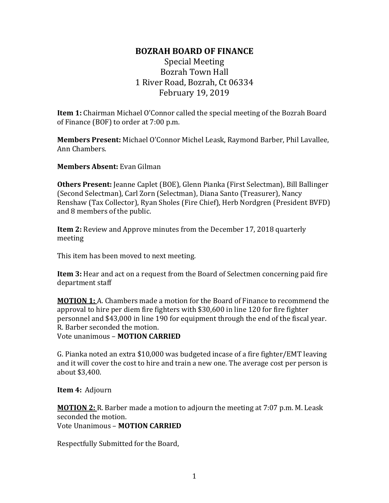## **BOZRAH BOARD OF FINANCE**

## Special Meeting Bozrah Town Hall 1 River Road, Bozrah, Ct 06334 February 19, 2019

**Item 1:** Chairman Michael O'Connor called the special meeting of the Bozrah Board of Finance (BOF) to order at 7:00 p.m.

**Members Present:** Michael O'Connor Michel Leask, Raymond Barber, Phil Lavallee, Ann Chambers.

**Members Absent:** Evan Gilman

**Others Present:** Jeanne Caplet (BOE), Glenn Pianka (First Selectman), Bill Ballinger (Second Selectman), Carl Zorn (Selectman), Diana Santo (Treasurer), Nancy Renshaw (Tax Collector), Ryan Sholes (Fire Chief), Herb Nordgren (President BVFD) and 8 members of the public.

**Item 2:** Review and Approve minutes from the December 17, 2018 quarterly meeting

This item has been moved to next meeting.

**Item 3:** Hear and act on a request from the Board of Selectmen concerning paid fire department staff

**MOTION 1:** A. Chambers made a motion for the Board of Finance to recommend the approval to hire per diem fire fighters with \$30,600 in line 120 for fire fighter personnel and \$43,000 in line 190 for equipment through the end of the fiscal year. R. Barber seconded the motion. Vote unanimous – **MOTION CARRIED**

G. Pianka noted an extra \$10,000 was budgeted incase of a fire fighter/EMT leaving and it will cover the cost to hire and train a new one. The average cost per person is about \$3,400.

**Item 4:** Adjourn

**MOTION 2:** R. Barber made a motion to adjourn the meeting at 7:07 p.m. M. Leask seconded the motion. Vote Unanimous – **MOTION CARRIED**

Respectfully Submitted for the Board,